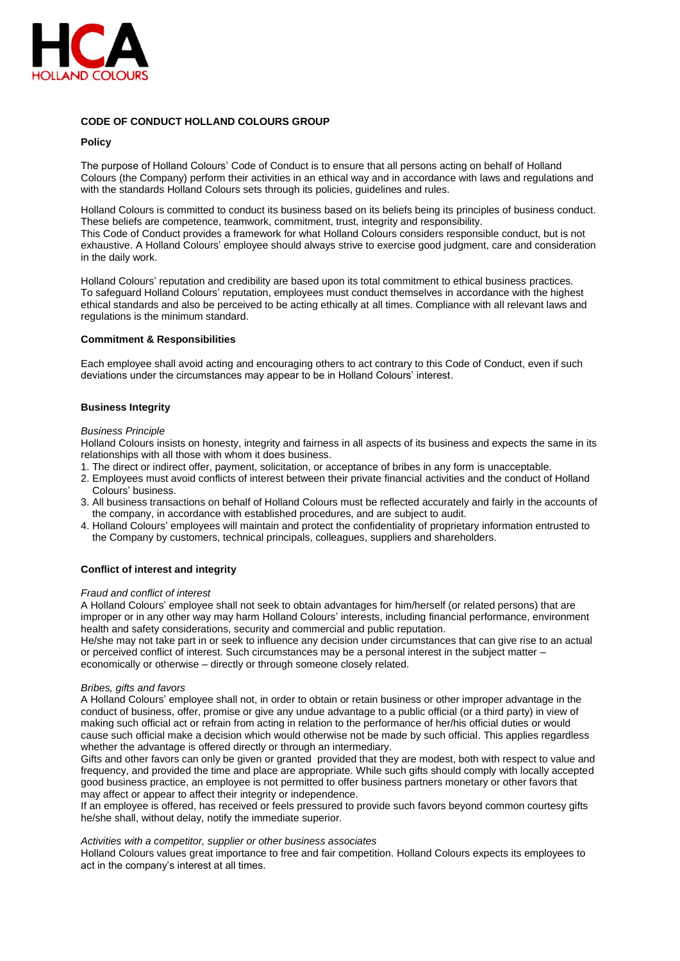

# **CODE OF CONDUCT HOLLAND COLOURS GROUP**

## **Policy**

The purpose of Holland Colours' Code of Conduct is to ensure that all persons acting on behalf of Holland Colours (the Company) perform their activities in an ethical way and in accordance with laws and regulations and with the standards Holland Colours sets through its policies, guidelines and rules.

Holland Colours is committed to conduct its business based on its beliefs being its principles of business conduct. These beliefs are competence, teamwork, commitment, trust, integrity and responsibility. This Code of Conduct provides a framework for what Holland Colours considers responsible conduct, but is not exhaustive. A Holland Colours' employee should always strive to exercise good judgment, care and consideration in the daily work.

Holland Colours' reputation and credibility are based upon its total commitment to ethical business practices. To safeguard Holland Colours' reputation, employees must conduct themselves in accordance with the highest ethical standards and also be perceived to be acting ethically at all times. Compliance with all relevant laws and regulations is the minimum standard.

#### **Commitment & Responsibilities**

Each employee shall avoid acting and encouraging others to act contrary to this Code of Conduct, even if such deviations under the circumstances may appear to be in Holland Colours' interest.

## **Business Integrity**

#### *Business Principle*

Holland Colours insists on honesty, integrity and fairness in all aspects of its business and expects the same in its relationships with all those with whom it does business.

- 1. The direct or indirect offer, payment, solicitation, or acceptance of bribes in any form is unacceptable.
- 2. Employees must avoid conflicts of interest between their private financial activities and the conduct of Holland Colours' business.
- 3. All business transactions on behalf of Holland Colours must be reflected accurately and fairly in the accounts of the company, in accordance with established procedures, and are subject to audit.
- 4. Holland Colours' employees will maintain and protect the confidentiality of proprietary information entrusted to the Company by customers, technical principals, colleagues, suppliers and shareholders.

## **Conflict of interest and integrity**

#### *Fraud and conflict of interest*

A Holland Colours' employee shall not seek to obtain advantages for him/herself (or related persons) that are improper or in any other way may harm Holland Colours' interests, including financial performance, environment health and safety considerations, security and commercial and public reputation.

He/she may not take part in or seek to influence any decision under circumstances that can give rise to an actual or perceived conflict of interest. Such circumstances may be a personal interest in the subject matter – economically or otherwise – directly or through someone closely related.

#### *Bribes, gifts and favors*

A Holland Colours' employee shall not, in order to obtain or retain business or other improper advantage in the conduct of business, offer, promise or give any undue advantage to a public official (or a third party) in view of making such official act or refrain from acting in relation to the performance of her/his official duties or would cause such official make a decision which would otherwise not be made by such official. This applies regardless whether the advantage is offered directly or through an intermediary.

Gifts and other favors can only be given or granted provided that they are modest, both with respect to value and frequency, and provided the time and place are appropriate. While such gifts should comply with locally accepted good business practice, an employee is not permitted to offer business partners monetary or other favors that may affect or appear to affect their integrity or independence.

If an employee is offered, has received or feels pressured to provide such favors beyond common courtesy gifts he/she shall, without delay, notify the immediate superior.

#### *Activities with a competitor, supplier or other business associates*

Holland Colours values great importance to free and fair competition. Holland Colours expects its employees to act in the company's interest at all times.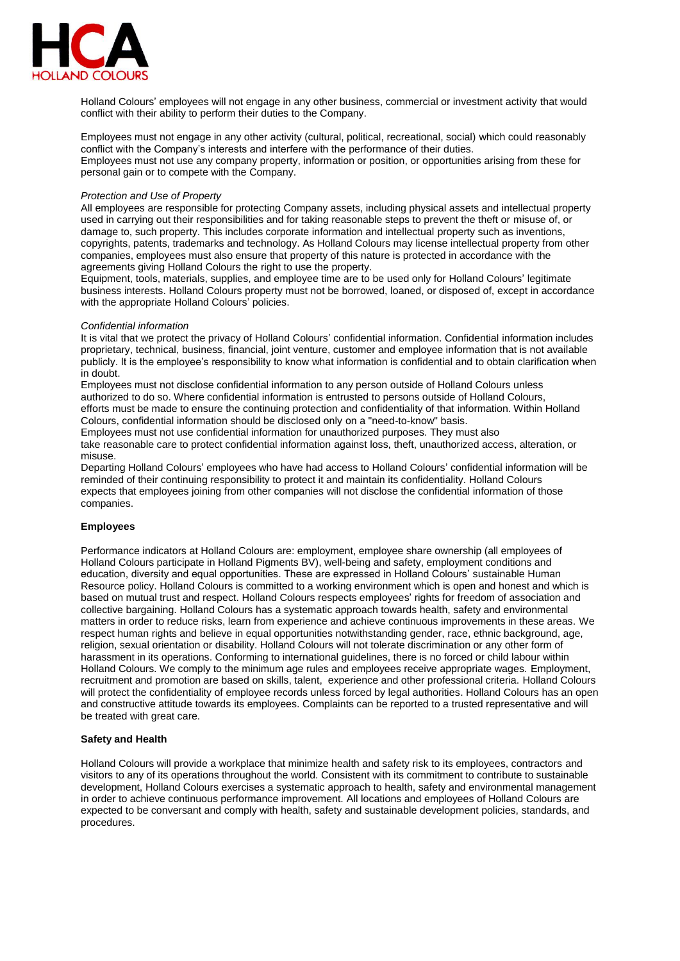

Holland Colours' employees will not engage in any other business, commercial or investment activity that would conflict with their ability to perform their duties to the Company.

Employees must not engage in any other activity (cultural, political, recreational, social) which could reasonably conflict with the Company's interests and interfere with the performance of their duties. Employees must not use any company property, information or position, or opportunities arising from these for personal gain or to compete with the Company.

## *Protection and Use of Property*

All employees are responsible for protecting Company assets, including physical assets and intellectual property used in carrying out their responsibilities and for taking reasonable steps to prevent the theft or misuse of, or damage to, such property. This includes corporate information and intellectual property such as inventions, copyrights, patents, trademarks and technology. As Holland Colours may license intellectual property from other companies, employees must also ensure that property of this nature is protected in accordance with the agreements giving Holland Colours the right to use the property.

Equipment, tools, materials, supplies, and employee time are to be used only for Holland Colours' legitimate business interests. Holland Colours property must not be borrowed, loaned, or disposed of, except in accordance with the appropriate Holland Colours' policies.

## *Confidential information*

It is vital that we protect the privacy of Holland Colours' confidential information. Confidential information includes proprietary, technical, business, financial, joint venture, customer and employee information that is not available publicly. It is the employee's responsibility to know what information is confidential and to obtain clarification when in doubt.

Employees must not disclose confidential information to any person outside of Holland Colours unless authorized to do so. Where confidential information is entrusted to persons outside of Holland Colours, efforts must be made to ensure the continuing protection and confidentiality of that information. Within Holland Colours, confidential information should be disclosed only on a "need-to-know" basis.

Employees must not use confidential information for unauthorized purposes. They must also take reasonable care to protect confidential information against loss, theft, unauthorized access, alteration, or misuse.

Departing Holland Colours' employees who have had access to Holland Colours' confidential information will be reminded of their continuing responsibility to protect it and maintain its confidentiality. Holland Colours expects that employees joining from other companies will not disclose the confidential information of those companies.

## **Employees**

Performance indicators at Holland Colours are: employment, employee share ownership (all employees of Holland Colours participate in Holland Pigments BV), well-being and safety, employment conditions and education, diversity and equal opportunities. These are expressed in Holland Colours' sustainable Human Resource policy. Holland Colours is committed to a working environment which is open and honest and which is based on mutual trust and respect. Holland Colours respects employees' rights for freedom of association and collective bargaining. Holland Colours has a systematic approach towards health, safety and environmental matters in order to reduce risks, learn from experience and achieve continuous improvements in these areas. We respect human rights and believe in equal opportunities notwithstanding gender, race, ethnic background, age, religion, sexual orientation or disability. Holland Colours will not tolerate discrimination or any other form of harassment in its operations. Conforming to international guidelines, there is no forced or child labour within Holland Colours. We comply to the minimum age rules and employees receive appropriate wages. Employment, recruitment and promotion are based on skills, talent, experience and other professional criteria. Holland Colours will protect the confidentiality of employee records unless forced by legal authorities. Holland Colours has an open and constructive attitude towards its employees. Complaints can be reported to a trusted representative and will be treated with great care.

#### **Safety and Health**

Holland Colours will provide a workplace that minimize health and safety risk to its employees, contractors and visitors to any of its operations throughout the world. Consistent with its commitment to contribute to sustainable development, Holland Colours exercises a systematic approach to health, safety and environmental management in order to achieve continuous performance improvement. All locations and employees of Holland Colours are expected to be conversant and comply with health, safety and sustainable development policies, standards, and procedures.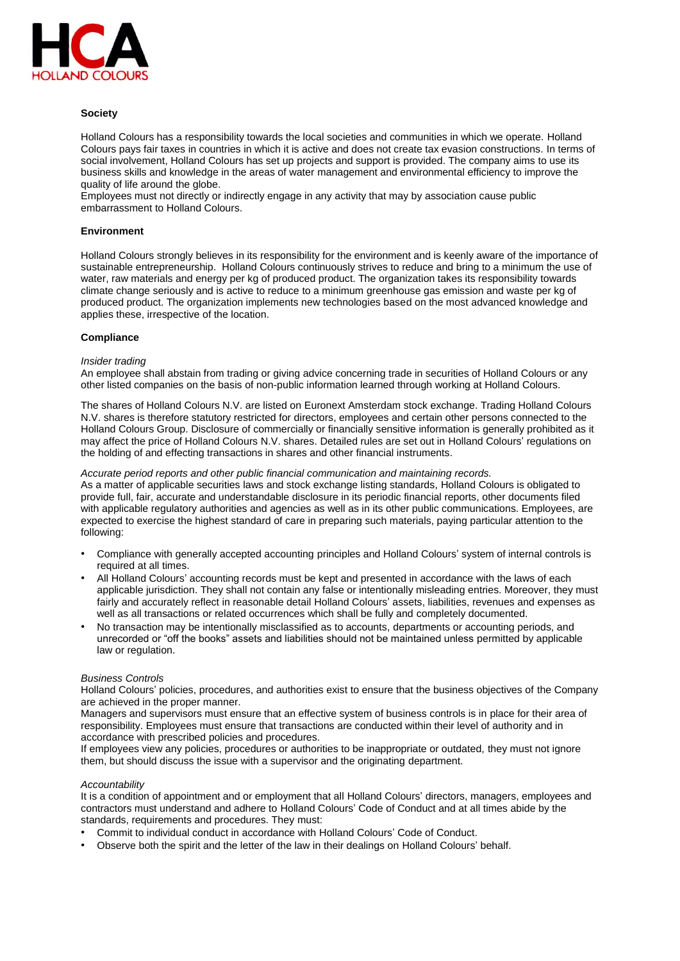

# **Society**

Holland Colours has a responsibility towards the local societies and communities in which we operate. Holland Colours pays fair taxes in countries in which it is active and does not create tax evasion constructions. In terms of social involvement, Holland Colours has set up projects and support is provided. The company aims to use its business skills and knowledge in the areas of water management and environmental efficiency to improve the quality of life around the globe.

Employees must not directly or indirectly engage in any activity that may by association cause public embarrassment to Holland Colours.

## **Environment**

Holland Colours strongly believes in its responsibility for the environment and is keenly aware of the importance of sustainable entrepreneurship. Holland Colours continuously strives to reduce and bring to a minimum the use of water, raw materials and energy per kg of produced product. The organization takes its responsibility towards climate change seriously and is active to reduce to a minimum greenhouse gas emission and waste per kg of produced product. The organization implements new technologies based on the most advanced knowledge and applies these, irrespective of the location.

## **Compliance**

## *Insider trading*

An employee shall abstain from trading or giving advice concerning trade in securities of Holland Colours or any other listed companies on the basis of non-public information learned through working at Holland Colours.

The shares of Holland Colours N.V. are listed on Euronext Amsterdam stock exchange. Trading Holland Colours N.V. shares is therefore statutory restricted for directors, employees and certain other persons connected to the Holland Colours Group. Disclosure of commercially or financially sensitive information is generally prohibited as it may affect the price of Holland Colours N.V. shares. Detailed rules are set out in Holland Colours' regulations on the holding of and effecting transactions in shares and other financial instruments.

## *Accurate period reports and other public financial communication and maintaining records.*

As a matter of applicable securities laws and stock exchange listing standards, Holland Colours is obligated to provide full, fair, accurate and understandable disclosure in its periodic financial reports, other documents filed with applicable regulatory authorities and agencies as well as in its other public communications. Employees, are expected to exercise the highest standard of care in preparing such materials, paying particular attention to the following:

- Compliance with generally accepted accounting principles and Holland Colours' system of internal controls is required at all times.
- All Holland Colours' accounting records must be kept and presented in accordance with the laws of each applicable jurisdiction. They shall not contain any false or intentionally misleading entries. Moreover, they must fairly and accurately reflect in reasonable detail Holland Colours' assets, liabilities, revenues and expenses as well as all transactions or related occurrences which shall be fully and completely documented.
- No transaction may be intentionally misclassified as to accounts, departments or accounting periods, and unrecorded or "off the books" assets and liabilities should not be maintained unless permitted by applicable law or regulation.

#### *Business Controls*

Holland Colours' policies, procedures, and authorities exist to ensure that the business objectives of the Company are achieved in the proper manner.

Managers and supervisors must ensure that an effective system of business controls is in place for their area of responsibility. Employees must ensure that transactions are conducted within their level of authority and in accordance with prescribed policies and procedures.

If employees view any policies, procedures or authorities to be inappropriate or outdated, they must not ignore them, but should discuss the issue with a supervisor and the originating department.

#### *Accountability*

It is a condition of appointment and or employment that all Holland Colours' directors, managers, employees and contractors must understand and adhere to Holland Colours' Code of Conduct and at all times abide by the standards, requirements and procedures. They must:

- Commit to individual conduct in accordance with Holland Colours' Code of Conduct.
- Observe both the spirit and the letter of the law in their dealings on Holland Colours' behalf.